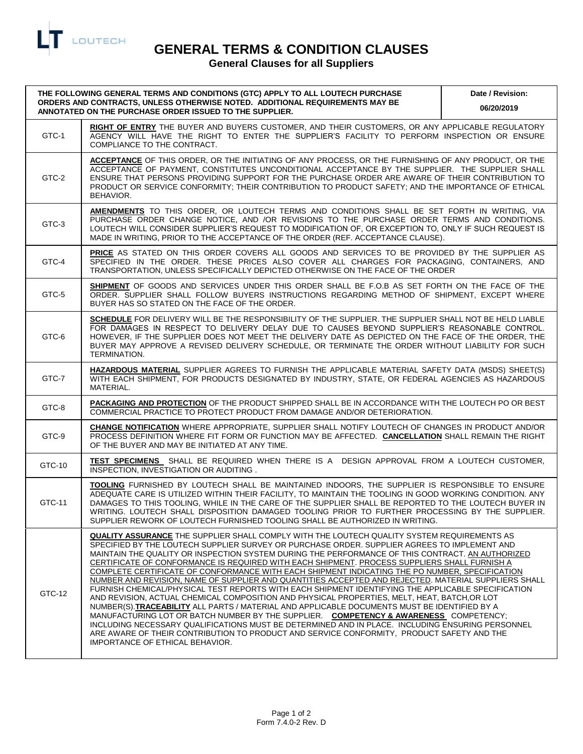

## **GENERAL TERMS & CONDITION CLAUSES**

## **General Clauses for all Suppliers**

| THE FOLLOWING GENERAL TERMS AND CONDITIONS (GTC) APPLY TO ALL LOUTECH PURCHASE<br>ORDERS AND CONTRACTS, UNLESS OTHERWISE NOTED. ADDITIONAL REQUIREMENTS MAY BE<br>ANNOTATED ON THE PURCHASE ORDER ISSUED TO THE SUPPLIER. |                                                                                                                                                                                                                                                                                                                                                                                                                                                                                                                                                                                                                                                                                                                                                                                                                                                                                                                                                                                                                                                                                                                                                                                                                                              | Date / Revision:<br>06/20/2019 |
|---------------------------------------------------------------------------------------------------------------------------------------------------------------------------------------------------------------------------|----------------------------------------------------------------------------------------------------------------------------------------------------------------------------------------------------------------------------------------------------------------------------------------------------------------------------------------------------------------------------------------------------------------------------------------------------------------------------------------------------------------------------------------------------------------------------------------------------------------------------------------------------------------------------------------------------------------------------------------------------------------------------------------------------------------------------------------------------------------------------------------------------------------------------------------------------------------------------------------------------------------------------------------------------------------------------------------------------------------------------------------------------------------------------------------------------------------------------------------------|--------------------------------|
| GTC-1                                                                                                                                                                                                                     | RIGHT OF ENTRY THE BUYER AND BUYERS CUSTOMER, AND THEIR CUSTOMERS, OR ANY APPLICABLE REGULATORY<br>AGENCY WILL HAVE THE RIGHT TO ENTER THE SUPPLIER'S FACILITY TO PERFORM INSPECTION OR ENSURE<br>COMPLIANCE TO THE CONTRACT.                                                                                                                                                                                                                                                                                                                                                                                                                                                                                                                                                                                                                                                                                                                                                                                                                                                                                                                                                                                                                |                                |
| GTC-2                                                                                                                                                                                                                     | ACCEPTANCE OF THIS ORDER, OR THE INITIATING OF ANY PROCESS, OR THE FURNISHING OF ANY PRODUCT, OR THE<br>ACCEPTANCE OF PAYMENT, CONSTITUTES UNCONDITIONAL ACCEPTANCE BY THE SUPPLIER. THE SUPPLIER SHALL<br>ENSURE THAT PERSONS PROVIDING SUPPORT FOR THE PURCHASE ORDER ARE AWARE OF THEIR CONTRIBUTION TO<br>PRODUCT OR SERVICE CONFORMITY; THEIR CONTRIBUTION TO PRODUCT SAFETY; AND THE IMPORTANCE OF ETHICAL<br>BEHAVIOR.                                                                                                                                                                                                                                                                                                                                                                                                                                                                                                                                                                                                                                                                                                                                                                                                                |                                |
| GTC-3                                                                                                                                                                                                                     | AMENDMENTS TO THIS ORDER, OR LOUTECH TERMS AND CONDITIONS SHALL BE SET FORTH IN WRITING, VIA<br>PURCHASE ORDER CHANGE NOTICE, AND /OR REVISIONS TO THE PURCHASE ORDER TERMS AND CONDITIONS.<br>LOUTECH WILL CONSIDER SUPPLIER'S REQUEST TO MODIFICATION OF, OR EXCEPTION TO, ONLY IF SUCH REQUEST IS<br>MADE IN WRITING, PRIOR TO THE ACCEPTANCE OF THE ORDER (REF. ACCEPTANCE CLAUSE).                                                                                                                                                                                                                                                                                                                                                                                                                                                                                                                                                                                                                                                                                                                                                                                                                                                      |                                |
| GTC-4                                                                                                                                                                                                                     | <b>PRICE</b> AS STATED ON THIS ORDER COVERS ALL GOODS AND SERVICES TO BE PROVIDED BY THE SUPPLIER AS<br>SPECIFIED IN THE ORDER. THESE PRICES ALSO COVER ALL CHARGES FOR PACKAGING, CONTAINERS, AND<br>TRANSPORTATION, UNLESS SPECIFICALLY DEPICTED OTHERWISE ON THE FACE OF THE ORDER                                                                                                                                                                                                                                                                                                                                                                                                                                                                                                                                                                                                                                                                                                                                                                                                                                                                                                                                                        |                                |
| GTC-5                                                                                                                                                                                                                     | SHIPMENT OF GOODS AND SERVICES UNDER THIS ORDER SHALL BE F.O.B AS SET FORTH ON THE FACE OF THE<br>ORDER. SUPPLIER SHALL FOLLOW BUYERS INSTRUCTIONS REGARDING METHOD OF SHIPMENT, EXCEPT WHERE<br>BUYER HAS SO STATED ON THE FACE OF THE ORDER.                                                                                                                                                                                                                                                                                                                                                                                                                                                                                                                                                                                                                                                                                                                                                                                                                                                                                                                                                                                               |                                |
| GTC-6                                                                                                                                                                                                                     | SCHEDULE FOR DELIVERY WILL BE THE RESPONSIBILITY OF THE SUPPLIER. THE SUPPLIER SHALL NOT BE HELD LIABLE<br>FOR DAMAGES IN RESPECT TO DELIVERY DELAY DUE TO CAUSES BEYOND SUPPLIER'S REASONABLE CONTROL.<br>HOWEVER, IF THE SUPPLIER DOES NOT MEET THE DELIVERY DATE AS DEPICTED ON THE FACE OF THE ORDER, THE<br>BUYER MAY APPROVE A REVISED DELIVERY SCHEDULE, OR TERMINATE THE ORDER WITHOUT LIABILITY FOR SUCH<br>TERMINATION.                                                                                                                                                                                                                                                                                                                                                                                                                                                                                                                                                                                                                                                                                                                                                                                                            |                                |
| GTC-7                                                                                                                                                                                                                     | HAZARDOUS MATERIAL SUPPLIER AGREES TO FURNISH THE APPLICABLE MATERIAL SAFETY DATA (MSDS) SHEET(S)<br>WITH EACH SHIPMENT, FOR PRODUCTS DESIGNATED BY INDUSTRY, STATE, OR FEDERAL AGENCIES AS HAZARDOUS<br>MATERIAL.                                                                                                                                                                                                                                                                                                                                                                                                                                                                                                                                                                                                                                                                                                                                                                                                                                                                                                                                                                                                                           |                                |
| GTC-8                                                                                                                                                                                                                     | PACKAGING AND PROTECTION OF THE PRODUCT SHIPPED SHALL BE IN ACCORDANCE WITH THE LOUTECH PO OR BEST<br>COMMERCIAL PRACTICE TO PROTECT PRODUCT FROM DAMAGE AND/OR DETERIORATION.                                                                                                                                                                                                                                                                                                                                                                                                                                                                                                                                                                                                                                                                                                                                                                                                                                                                                                                                                                                                                                                               |                                |
| GTC-9                                                                                                                                                                                                                     | CHANGE NOTIFICATION WHERE APPROPRIATE, SUPPLIER SHALL NOTIFY LOUTECH OF CHANGES IN PRODUCT AND/OR<br>PROCESS DEFINITION WHERE FIT FORM OR FUNCTION MAY BE AFFECTED. CANCELLATION SHALL REMAIN THE RIGHT<br>OF THE BUYER AND MAY BE INITIATED AT ANY TIME.                                                                                                                                                                                                                                                                                                                                                                                                                                                                                                                                                                                                                                                                                                                                                                                                                                                                                                                                                                                    |                                |
| GTC-10                                                                                                                                                                                                                    | TEST SPECIMENS SHALL BE REQUIRED WHEN THERE IS A DESIGN APPROVAL FROM A LOUTECH CUSTOMER,<br>INSPECTION, INVESTIGATION OR AUDITING.                                                                                                                                                                                                                                                                                                                                                                                                                                                                                                                                                                                                                                                                                                                                                                                                                                                                                                                                                                                                                                                                                                          |                                |
| GTC-11                                                                                                                                                                                                                    | TOOLING FURNISHED BY LOUTECH SHALL BE MAINTAINED INDOORS, THE SUPPLIER IS RESPONSIBLE TO ENSURE<br>ADEQUATE CARE IS UTILIZED WITHIN THEIR FACILITY, TO MAINTAIN THE TOOLING IN GOOD WORKING CONDITION. ANY<br>DAMAGES TO THIS TOOLING, WHILE IN THE CARE OF THE SUPPLIER SHALL BE REPORTED TO THE LOUTECH BUYER IN<br>WRITING. LOUTECH SHALL DISPOSITION DAMAGED TOOLING PRIOR TO FURTHER PROCESSING BY THE SUPPLIER.<br>SUPPLIER REWORK OF LOUTECH FURNISHED TOOLING SHALL BE AUTHORIZED IN WRITING.                                                                                                                                                                                                                                                                                                                                                                                                                                                                                                                                                                                                                                                                                                                                        |                                |
| GTC-12                                                                                                                                                                                                                    | QUALITY ASSURANCE THE SUPPLIER SHALL COMPLY WITH THE LOUTECH QUALITY SYSTEM REQUIREMENTS AS<br>SPECIFIED BY THE LOUTECH SUPPLIER SURVEY OR PURCHASE ORDER. SUPPLIER AGREES TO IMPLEMENT AND<br>MAINTAIN THE QUALITY OR INSPECTION SYSTEM DURING THE PERFORMANCE OF THIS CONTRACT. AN AUTHORIZED<br>CERTIFICATE OF CONFORMANCE IS REQUIRED WITH EACH SHIPMENT. PROCESS SUPPLIERS SHALL FURNISH A<br>COMPLETE CERTIFICATE OF CONFORMANCE WITH EACH SHIPMENT INDICATING THE PO NUMBER, SPECIFICATION<br>NUMBER AND REVISION. NAME OF SUPPLIER AND QUANTITIES ACCEPTED AND REJECTED. MATERIAL SUPPLIERS SHALL<br>FURNISH CHEMICAL/PHYSICAL TEST REPORTS WITH EACH SHIPMENT IDENTIFYING THE APPLICABLE SPECIFICATION<br>AND REVISION, ACTUAL CHEMICAL COMPOSITION AND PHYSICAL PROPERTIES, MELT, HEAT, BATCH, OR LOT<br>NUMBER(S).TRACEABILITY ALL PARTS / MATERIAL AND APPLICABLE DOCUMENTS MUST BE IDENTIFIED BY A<br>MANUFACTURING LOT OR BATCH NUMBER BY THE SUPPLIER. COMPETENCY & AWARENESS COMPETENCY;<br>INCLUDING NECESSARY QUALIFICATIONS MUST BE DETERMINED AND IN PLACE. INCLUDING ENSURING PERSONNEL<br>ARE AWARE OF THEIR CONTRIBUTION TO PRODUCT AND SERVICE CONFORMITY, PRODUCT SAFETY AND THE<br>IMPORTANCE OF ETHICAL BEHAVIOR. |                                |